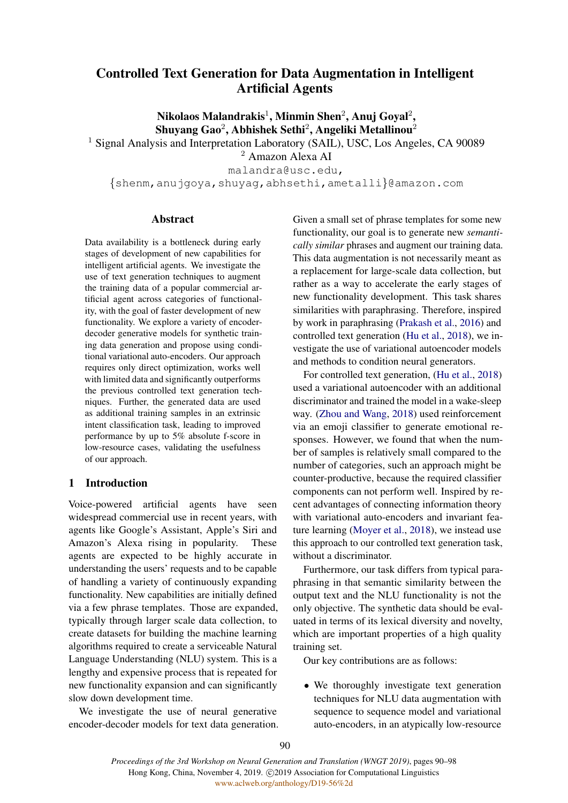# Controlled Text Generation for Data Augmentation in Intelligent Artificial Agents

Nikolaos Malandrakis $^1$ , Minmin Shen $^2$ , Anuj Goyal $^2$ , Shuyang Gao $^2$ , Abhishek Sethi $^2$ , Angeliki Metallinou $^2$ 

<sup>1</sup> Signal Analysis and Interpretation Laboratory (SAIL), USC, Los Angeles, CA 90089

<sup>2</sup> Amazon Alexa AI

malandra@usc.edu,

{shenm,anujgoya,shuyag,abhsethi,ametalli}@amazon.com

## Abstract

Data availability is a bottleneck during early stages of development of new capabilities for intelligent artificial agents. We investigate the use of text generation techniques to augment the training data of a popular commercial artificial agent across categories of functionality, with the goal of faster development of new functionality. We explore a variety of encoderdecoder generative models for synthetic training data generation and propose using conditional variational auto-encoders. Our approach requires only direct optimization, works well with limited data and significantly outperforms the previous controlled text generation techniques. Further, the generated data are used as additional training samples in an extrinsic intent classification task, leading to improved performance by up to 5% absolute f-score in low-resource cases, validating the usefulness of our approach.

## 1 Introduction

Voice-powered artificial agents have seen widespread commercial use in recent years, with agents like Google's Assistant, Apple's Siri and Amazon's Alexa rising in popularity. These agents are expected to be highly accurate in understanding the users' requests and to be capable of handling a variety of continuously expanding functionality. New capabilities are initially defined via a few phrase templates. Those are expanded, typically through larger scale data collection, to create datasets for building the machine learning algorithms required to create a serviceable Natural Language Understanding (NLU) system. This is a lengthy and expensive process that is repeated for new functionality expansion and can significantly slow down development time.

We investigate the use of neural generative encoder-decoder models for text data generation. Given a small set of phrase templates for some new functionality, our goal is to generate new *semantically similar* phrases and augment our training data. This data augmentation is not necessarily meant as a replacement for large-scale data collection, but rather as a way to accelerate the early stages of new functionality development. This task shares similarities with paraphrasing. Therefore, inspired by work in paraphrasing [\(Prakash et al.,](#page-8-0) [2016\)](#page-8-0) and controlled text generation [\(Hu et al.,](#page-7-0) [2018\)](#page-7-0), we investigate the use of variational autoencoder models and methods to condition neural generators.

For controlled text generation, [\(Hu et al.,](#page-7-0) [2018\)](#page-7-0) used a variational autoencoder with an additional discriminator and trained the model in a wake-sleep way. [\(Zhou and Wang,](#page-8-1) [2018\)](#page-8-1) used reinforcement via an emoji classifier to generate emotional responses. However, we found that when the number of samples is relatively small compared to the number of categories, such an approach might be counter-productive, because the required classifier components can not perform well. Inspired by recent advantages of connecting information theory with variational auto-encoders and invariant feature learning [\(Moyer et al.,](#page-8-2) [2018\)](#page-8-2), we instead use this approach to our controlled text generation task, without a discriminator.

Furthermore, our task differs from typical paraphrasing in that semantic similarity between the output text and the NLU functionality is not the only objective. The synthetic data should be evaluated in terms of its lexical diversity and novelty, which are important properties of a high quality training set.

Our key contributions are as follows:

• We thoroughly investigate text generation techniques for NLU data augmentation with sequence to sequence model and variational auto-encoders, in an atypically low-resource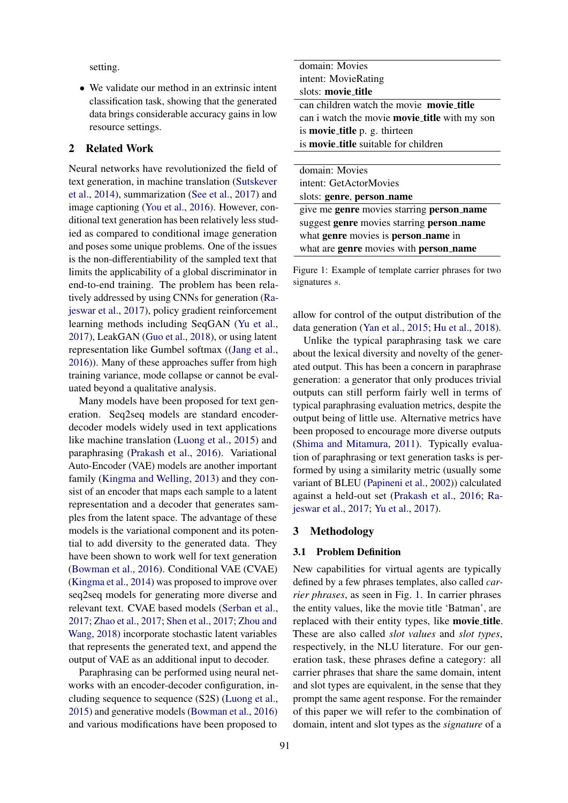setting.

• We validate our method in an extrinsic intent classification task, showing that the generated data brings considerable accuracy gains in low resource settings.

## 2 Related Work

Neural networks have revolutionized the field of text generation, in machine translation [\(Sutskever](#page-8-3) [et al.,](#page-8-3) [2014\)](#page-8-3), summarization [\(See et al.,](#page-8-4) [2017\)](#page-8-4) and image captioning [\(You et al.,](#page-8-5) [2016\)](#page-8-5). However, conditional text generation has been relatively less studied as compared to conditional image generation and poses some unique problems. One of the issues is the non-differentiability of the sampled text that limits the applicability of a global discriminator in end-to-end training. The problem has been relatively addressed by using CNNs for generation [\(Ra](#page-8-6)[jeswar et al.,](#page-8-6) [2017\)](#page-8-6), policy gradient reinforcement learning methods including SeqGAN [\(Yu et al.,](#page-8-7) [2017\)](#page-8-7), LeakGAN [\(Guo et al.,](#page-7-1) [2018\)](#page-7-1), or using latent representation like Gumbel softmax ([\(Jang et al.,](#page-8-8) [2016\)](#page-8-8)). Many of these approaches suffer from high training variance, mode collapse or cannot be evaluated beyond a qualitative analysis.

Many models have been proposed for text generation. Seq2seq models are standard encoderdecoder models widely used in text applications like machine translation [\(Luong et al.,](#page-8-9) [2015\)](#page-8-9) and paraphrasing [\(Prakash et al.,](#page-8-0) [2016\)](#page-8-0). Variational Auto-Encoder (VAE) models are another important family [\(Kingma and Welling,](#page-8-10) [2013\)](#page-8-10) and they consist of an encoder that maps each sample to a latent representation and a decoder that generates samples from the latent space. The advantage of these models is the variational component and its potential to add diversity to the generated data. They have been shown to work well for text generation [\(Bowman et al.,](#page-7-2) [2016\)](#page-7-2). Conditional VAE (CVAE) [\(Kingma et al.,](#page-8-11) [2014\)](#page-8-11) was proposed to improve over seq2seq models for generating more diverse and relevant text. CVAE based models [\(Serban et al.,](#page-8-12) [2017;](#page-8-12) [Zhao et al.,](#page-8-13) [2017;](#page-8-13) [Shen et al.,](#page-8-14) [2017;](#page-8-14) [Zhou and](#page-8-1) [Wang,](#page-8-1) [2018\)](#page-8-1) incorporate stochastic latent variables that represents the generated text, and append the output of VAE as an additional input to decoder.

Paraphrasing can be performed using neural networks with an encoder-decoder configuration, including sequence to sequence (S2S) [\(Luong et al.,](#page-8-9) [2015\)](#page-8-9) and generative models [\(Bowman et al.,](#page-7-2) [2016\)](#page-7-2) and various modifications have been proposed to

<span id="page-1-0"></span>

| domain: Movies                                |
|-----------------------------------------------|
| intent: MovieRating                           |
| slots: movie_title                            |
| can children watch the movie movie_title      |
| can i watch the movie movie_title with my son |
| is <b>movie_title</b> p. g. thirteen          |
| is <b>movie_title</b> suitable for children   |
|                                               |

| domain: Movies                            |
|-------------------------------------------|
| intent: GetActorMovies                    |
| slots: genre, person_name                 |
| give me genre movies starring person_name |
| suggest genre movies starring person_name |
| what genre movies is person_name in       |
| what are genre movies with person_name    |
|                                           |

Figure 1: Example of template carrier phrases for two signatures s.

allow for control of the output distribution of the data generation [\(Yan et al.,](#page-8-15) [2015;](#page-8-15) [Hu et al.,](#page-7-0) [2018\)](#page-7-0).

Unlike the typical paraphrasing task we care about the lexical diversity and novelty of the generated output. This has been a concern in paraphrase generation: a generator that only produces trivial outputs can still perform fairly well in terms of typical paraphrasing evaluation metrics, despite the output being of little use. Alternative metrics have been proposed to encourage more diverse outputs [\(Shima and Mitamura,](#page-8-16) [2011\)](#page-8-16). Typically evaluation of paraphrasing or text generation tasks is performed by using a similarity metric (usually some variant of BLEU [\(Papineni et al.,](#page-8-17) [2002\)](#page-8-17)) calculated against a held-out set [\(Prakash et al.,](#page-8-0) [2016;](#page-8-0) [Ra](#page-8-6)[jeswar et al.,](#page-8-6) [2017;](#page-8-6) [Yu et al.,](#page-8-7) [2017\)](#page-8-7).

#### 3 Methodology

### 3.1 Problem Definition

New capabilities for virtual agents are typically defined by a few phrases templates, also called *carrier phrases*, as seen in Fig. [1.](#page-1-0) In carrier phrases the entity values, like the movie title 'Batman', are replaced with their entity types, like movie title. These are also called *slot values* and *slot types*, respectively, in the NLU literature. For our generation task, these phrases define a category: all carrier phrases that share the same domain, intent and slot types are equivalent, in the sense that they prompt the same agent response. For the remainder of this paper we will refer to the combination of domain, intent and slot types as the *signature* of a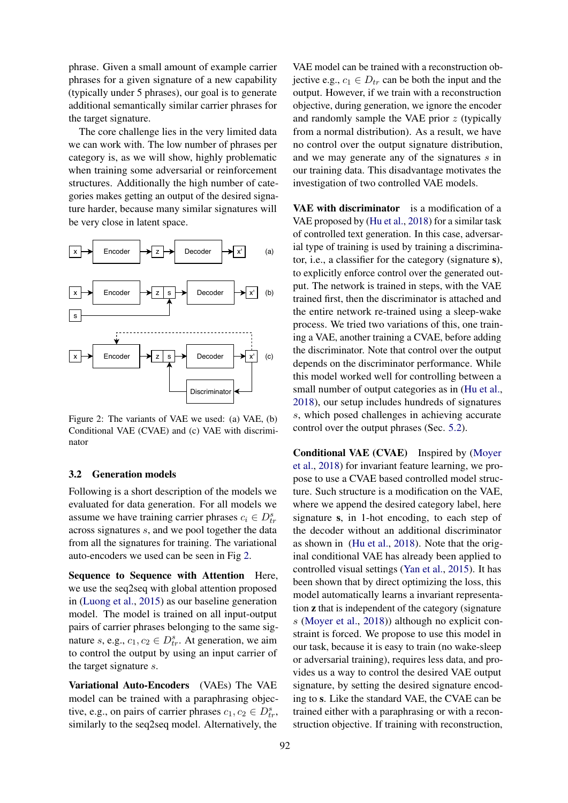phrase. Given a small amount of example carrier phrases for a given signature of a new capability (typically under 5 phrases), our goal is to generate additional semantically similar carrier phrases for the target signature.

The core challenge lies in the very limited data we can work with. The low number of phrases per category is, as we will show, highly problematic when training some adversarial or reinforcement structures. Additionally the high number of categories makes getting an output of the desired signature harder, because many similar signatures will be very close in latent space.

<span id="page-2-0"></span>

Figure 2: The variants of VAE we used: (a) VAE, (b) Conditional VAE (CVAE) and (c) VAE with discriminator

#### 3.2 Generation models

Following is a short description of the models we evaluated for data generation. For all models we assume we have training carrier phrases  $c_i \in D_{tr}^s$ across signatures s, and we pool together the data from all the signatures for training. The variational auto-encoders we used can be seen in Fig [2.](#page-2-0)

Sequence to Sequence with Attention Here, we use the seq2seq with global attention proposed in [\(Luong et al.,](#page-8-9) [2015\)](#page-8-9) as our baseline generation model. The model is trained on all input-output pairs of carrier phrases belonging to the same signature s, e.g.,  $c_1, c_2 \in D_{tr}^s$ . At generation, we aim to control the output by using an input carrier of the target signature s.

Variational Auto-Encoders (VAEs) The VAE model can be trained with a paraphrasing objective, e.g., on pairs of carrier phrases  $c_1, c_2 \in D_{tr}^s$ , similarly to the seq2seq model. Alternatively, the

VAE model can be trained with a reconstruction objective e.g.,  $c_1 \in D_{tr}$  can be both the input and the output. However, if we train with a reconstruction objective, during generation, we ignore the encoder and randomly sample the VAE prior  $z$  (typically from a normal distribution). As a result, we have no control over the output signature distribution, and we may generate any of the signatures s in our training data. This disadvantage motivates the investigation of two controlled VAE models.

VAE with discriminator is a modification of a VAE proposed by [\(Hu et al.,](#page-7-0) [2018\)](#page-7-0) for a similar task of controlled text generation. In this case, adversarial type of training is used by training a discriminator, i.e., a classifier for the category (signature s), to explicitly enforce control over the generated output. The network is trained in steps, with the VAE trained first, then the discriminator is attached and the entire network re-trained using a sleep-wake process. We tried two variations of this, one training a VAE, another training a CVAE, before adding the discriminator. Note that control over the output depends on the discriminator performance. While this model worked well for controlling between a small number of output categories as in [\(Hu et al.,](#page-7-0) [2018\)](#page-7-0), our setup includes hundreds of signatures s, which posed challenges in achieving accurate control over the output phrases (Sec. [5.2\)](#page-3-0).

Conditional VAE (CVAE) Inspired by [\(Moyer](#page-8-2) [et al.,](#page-8-2) [2018\)](#page-8-2) for invariant feature learning, we propose to use a CVAE based controlled model structure. Such structure is a modification on the VAE, where we append the desired category label, here signature s, in 1-hot encoding, to each step of the decoder without an additional discriminator as shown in [\(Hu et al.,](#page-7-0) [2018\)](#page-7-0). Note that the original conditional VAE has already been applied to controlled visual settings [\(Yan et al.,](#page-8-15) [2015\)](#page-8-15). It has been shown that by direct optimizing the loss, this model automatically learns a invariant representation z that is independent of the category (signature s [\(Moyer et al.,](#page-8-2) [2018\)](#page-8-2)) although no explicit constraint is forced. We propose to use this model in our task, because it is easy to train (no wake-sleep or adversarial training), requires less data, and provides us a way to control the desired VAE output signature, by setting the desired signature encoding to s. Like the standard VAE, the CVAE can be trained either with a paraphrasing or with a reconstruction objective. If training with reconstruction,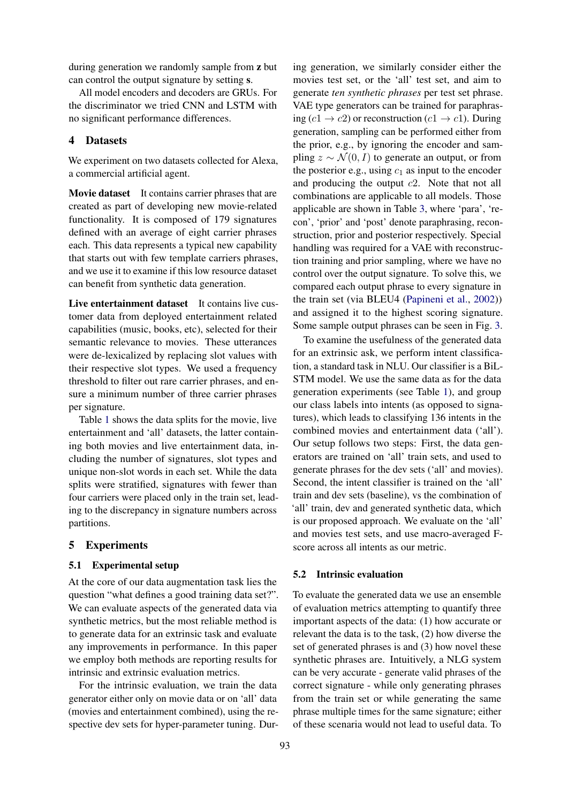during generation we randomly sample from z but can control the output signature by setting s.

All model encoders and decoders are GRUs. For the discriminator we tried CNN and LSTM with no significant performance differences.

## 4 Datasets

We experiment on two datasets collected for Alexa, a commercial artificial agent.

Movie dataset It contains carrier phrases that are created as part of developing new movie-related functionality. It is composed of 179 signatures defined with an average of eight carrier phrases each. This data represents a typical new capability that starts out with few template carriers phrases, and we use it to examine if this low resource dataset can benefit from synthetic data generation.

Live entertainment dataset It contains live customer data from deployed entertainment related capabilities (music, books, etc), selected for their semantic relevance to movies. These utterances were de-lexicalized by replacing slot values with their respective slot types. We used a frequency threshold to filter out rare carrier phrases, and ensure a minimum number of three carrier phrases per signature.

Table [1](#page-4-0) shows the data splits for the movie, live entertainment and 'all' datasets, the latter containing both movies and live entertainment data, including the number of signatures, slot types and unique non-slot words in each set. While the data splits were stratified, signatures with fewer than four carriers were placed only in the train set, leading to the discrepancy in signature numbers across partitions.

### 5 Experiments

### 5.1 Experimental setup

At the core of our data augmentation task lies the question "what defines a good training data set?". We can evaluate aspects of the generated data via synthetic metrics, but the most reliable method is to generate data for an extrinsic task and evaluate any improvements in performance. In this paper we employ both methods are reporting results for intrinsic and extrinsic evaluation metrics.

For the intrinsic evaluation, we train the data generator either only on movie data or on 'all' data (movies and entertainment combined), using the respective dev sets for hyper-parameter tuning. Dur-

ing generation, we similarly consider either the movies test set, or the 'all' test set, and aim to generate *ten synthetic phrases* per test set phrase. VAE type generators can be trained for paraphrasing (c1  $\rightarrow$  c2) or reconstruction (c1  $\rightarrow$  c1). During generation, sampling can be performed either from the prior, e.g., by ignoring the encoder and sampling  $z \sim \mathcal{N}(0, I)$  to generate an output, or from the posterior e.g., using  $c_1$  as input to the encoder and producing the output  $c2$ . Note that not all combinations are applicable to all models. Those applicable are shown in Table [3,](#page-6-0) where 'para', 'recon', 'prior' and 'post' denote paraphrasing, reconstruction, prior and posterior respectively. Special handling was required for a VAE with reconstruction training and prior sampling, where we have no control over the output signature. To solve this, we compared each output phrase to every signature in the train set (via BLEU4 [\(Papineni et al.,](#page-8-17) [2002\)](#page-8-17)) and assigned it to the highest scoring signature. Some sample output phrases can be seen in Fig. [3.](#page-5-0)

To examine the usefulness of the generated data for an extrinsic ask, we perform intent classification, a standard task in NLU. Our classifier is a BiL-STM model. We use the same data as for the data generation experiments (see Table [1\)](#page-4-0), and group our class labels into intents (as opposed to signatures), which leads to classifying 136 intents in the combined movies and entertainment data ('all'). Our setup follows two steps: First, the data generators are trained on 'all' train sets, and used to generate phrases for the dev sets ('all' and movies). Second, the intent classifier is trained on the 'all' train and dev sets (baseline), vs the combination of 'all' train, dev and generated synthetic data, which is our proposed approach. We evaluate on the 'all' and movies test sets, and use macro-averaged Fscore across all intents as our metric.

### <span id="page-3-0"></span>5.2 Intrinsic evaluation

To evaluate the generated data we use an ensemble of evaluation metrics attempting to quantify three important aspects of the data: (1) how accurate or relevant the data is to the task, (2) how diverse the set of generated phrases is and (3) how novel these synthetic phrases are. Intuitively, a NLG system can be very accurate - generate valid phrases of the correct signature - while only generating phrases from the train set or while generating the same phrase multiple times for the same signature; either of these scenaria would not lead to useful data. To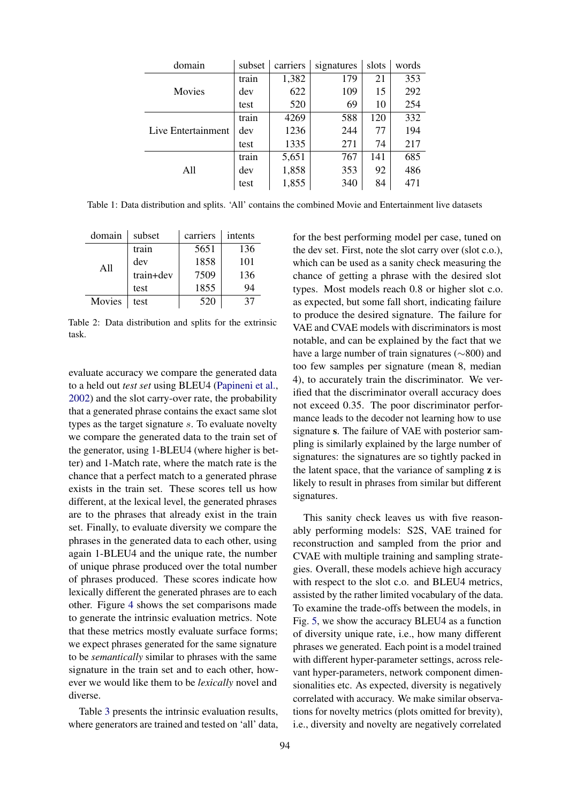<span id="page-4-0"></span>

| domain             | subset | carriers | signatures | slots | words |
|--------------------|--------|----------|------------|-------|-------|
|                    | train  | 1,382    | 179        | 21    | 353   |
| Movies             | dev    | 622      | 109        | 15    | 292   |
|                    | test   | 520      | 69         | 10    | 254   |
|                    | train  | 4269     | 588        | 120   | 332   |
| Live Entertainment | dev    | 1236     | 244        | 77    | 194   |
|                    | test   | 1335     | 271        | 74    | 217   |
|                    | train  | 5,651    | 767        | 141   | 685   |
| All                | dev    | 1,858    | 353        | 92    | 486   |
|                    | test   | 1,855    | 340        | 84    | 471   |

Table 1: Data distribution and splits. 'All' contains the combined Movie and Entertainment live datasets

| domain | subset    | carriers | intents |
|--------|-----------|----------|---------|
| A11    | train     | 5651     | 136     |
|        | dev       | 1858     | 101     |
|        | train+dev | 7509     | 136     |
|        | test      | 1855     | 94      |
| Movies | test      | 520      | 37      |

Table 2: Data distribution and splits for the extrinsic task.

evaluate accuracy we compare the generated data to a held out *test set* using BLEU4 [\(Papineni et al.,](#page-8-17) [2002\)](#page-8-17) and the slot carry-over rate, the probability that a generated phrase contains the exact same slot types as the target signature s. To evaluate novelty we compare the generated data to the train set of the generator, using 1-BLEU4 (where higher is better) and 1-Match rate, where the match rate is the chance that a perfect match to a generated phrase exists in the train set. These scores tell us how different, at the lexical level, the generated phrases are to the phrases that already exist in the train set. Finally, to evaluate diversity we compare the phrases in the generated data to each other, using again 1-BLEU4 and the unique rate, the number of unique phrase produced over the total number of phrases produced. These scores indicate how lexically different the generated phrases are to each other. Figure [4](#page-5-1) shows the set comparisons made to generate the intrinsic evaluation metrics. Note that these metrics mostly evaluate surface forms; we expect phrases generated for the same signature to be *semantically* similar to phrases with the same signature in the train set and to each other, however we would like them to be *lexically* novel and diverse.

Table [3](#page-6-0) presents the intrinsic evaluation results, where generators are trained and tested on 'all' data,

for the best performing model per case, tuned on the dev set. First, note the slot carry over (slot c.o.), which can be used as a sanity check measuring the chance of getting a phrase with the desired slot types. Most models reach 0.8 or higher slot c.o. as expected, but some fall short, indicating failure to produce the desired signature. The failure for VAE and CVAE models with discriminators is most notable, and can be explained by the fact that we have a large number of train signatures (∼800) and too few samples per signature (mean 8, median 4), to accurately train the discriminator. We verified that the discriminator overall accuracy does not exceed 0.35. The poor discriminator performance leads to the decoder not learning how to use signature s. The failure of VAE with posterior sampling is similarly explained by the large number of signatures: the signatures are so tightly packed in the latent space, that the variance of sampling  $z$  is likely to result in phrases from similar but different signatures.

This sanity check leaves us with five reasonably performing models: S2S, VAE trained for reconstruction and sampled from the prior and CVAE with multiple training and sampling strategies. Overall, these models achieve high accuracy with respect to the slot c.o. and BLEU4 metrics, assisted by the rather limited vocabulary of the data. To examine the trade-offs between the models, in Fig. [5,](#page-6-1) we show the accuracy BLEU4 as a function of diversity unique rate, i.e., how many different phrases we generated. Each point is a model trained with different hyper-parameter settings, across relevant hyper-parameters, network component dimensionalities etc. As expected, diversity is negatively correlated with accuracy. We make similar observations for novelty metrics (plots omitted for brevity), i.e., diversity and novelty are negatively correlated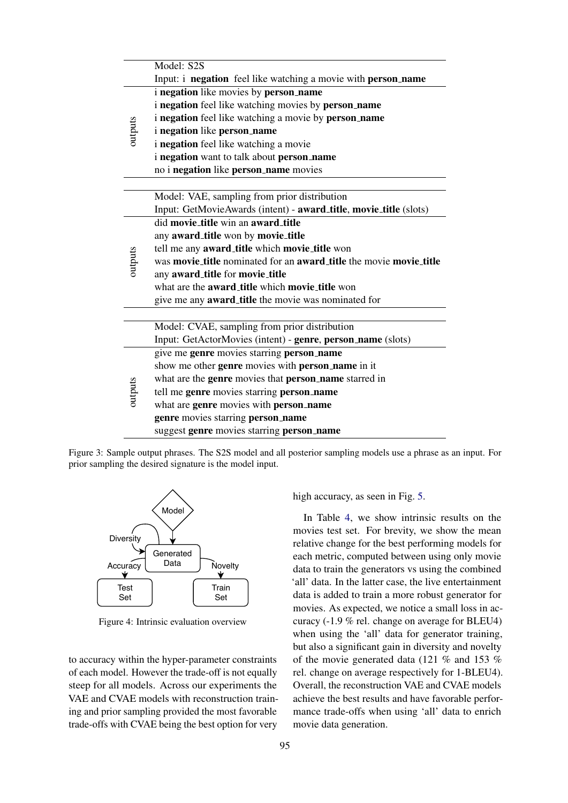<span id="page-5-0"></span>

|         | Model: S2S                                                         |  |  |  |  |  |  |  |  |
|---------|--------------------------------------------------------------------|--|--|--|--|--|--|--|--|
|         | Input: i negation feel like watching a movie with person_name      |  |  |  |  |  |  |  |  |
|         | i negation like movies by person_name                              |  |  |  |  |  |  |  |  |
|         | i negation feel like watching movies by person_name                |  |  |  |  |  |  |  |  |
|         | i negation feel like watching a movie by person_name               |  |  |  |  |  |  |  |  |
| outputs | <i>i</i> negation like person_name                                 |  |  |  |  |  |  |  |  |
|         | i negation feel like watching a movie                              |  |  |  |  |  |  |  |  |
|         | i negation want to talk about person_name                          |  |  |  |  |  |  |  |  |
|         | no i negation like person_name movies                              |  |  |  |  |  |  |  |  |
|         |                                                                    |  |  |  |  |  |  |  |  |
|         | Model: VAE, sampling from prior distribution                       |  |  |  |  |  |  |  |  |
|         | Input: GetMovieAwards (intent) - award_title, movie_title (slots)  |  |  |  |  |  |  |  |  |
|         | did movie_title win an award_title                                 |  |  |  |  |  |  |  |  |
|         | any award_title won by movie_title                                 |  |  |  |  |  |  |  |  |
|         | tell me any award_title which movie_title won                      |  |  |  |  |  |  |  |  |
| outputs | was movie_title nominated for an award_title the movie movie_title |  |  |  |  |  |  |  |  |
|         | any award_title for movie_title                                    |  |  |  |  |  |  |  |  |
|         | what are the award_title which movie_title won                     |  |  |  |  |  |  |  |  |
|         | give me any <b>award_title</b> the movie was nominated for         |  |  |  |  |  |  |  |  |
|         |                                                                    |  |  |  |  |  |  |  |  |
|         | Model: CVAE, sampling from prior distribution                      |  |  |  |  |  |  |  |  |
|         | Input: GetActorMovies (intent) - genre, person_name (slots)        |  |  |  |  |  |  |  |  |
|         | give me genre movies starring person_name                          |  |  |  |  |  |  |  |  |
|         | show me other genre movies with person_name in it                  |  |  |  |  |  |  |  |  |
|         | what are the genre movies that person_name starred in              |  |  |  |  |  |  |  |  |
| outputs | tell me genre movies starring person_name                          |  |  |  |  |  |  |  |  |
|         | what are genre movies with person_name                             |  |  |  |  |  |  |  |  |
|         | genre movies starring person_name                                  |  |  |  |  |  |  |  |  |
|         | suggest genre movies starring person_name                          |  |  |  |  |  |  |  |  |

Figure 3: Sample output phrases. The S2S model and all posterior sampling models use a phrase as an input. For prior sampling the desired signature is the model input.

<span id="page-5-1"></span>

Figure 4: Intrinsic evaluation overview

to accuracy within the hyper-parameter constraints of each model. However the trade-off is not equally steep for all models. Across our experiments the VAE and CVAE models with reconstruction training and prior sampling provided the most favorable trade-offs with CVAE being the best option for very high accuracy, as seen in Fig. [5.](#page-6-1)

In Table [4,](#page-6-2) we show intrinsic results on the movies test set. For brevity, we show the mean relative change for the best performing models for each metric, computed between using only movie data to train the generators vs using the combined 'all' data. In the latter case, the live entertainment data is added to train a more robust generator for movies. As expected, we notice a small loss in accuracy (-1.9 % rel. change on average for BLEU4) when using the 'all' data for generator training, but also a significant gain in diversity and novelty of the movie generated data (121 % and 153 % rel. change on average respectively for 1-BLEU4). Overall, the reconstruction VAE and CVAE models achieve the best results and have favorable performance trade-offs when using 'all' data to enrich movie data generation.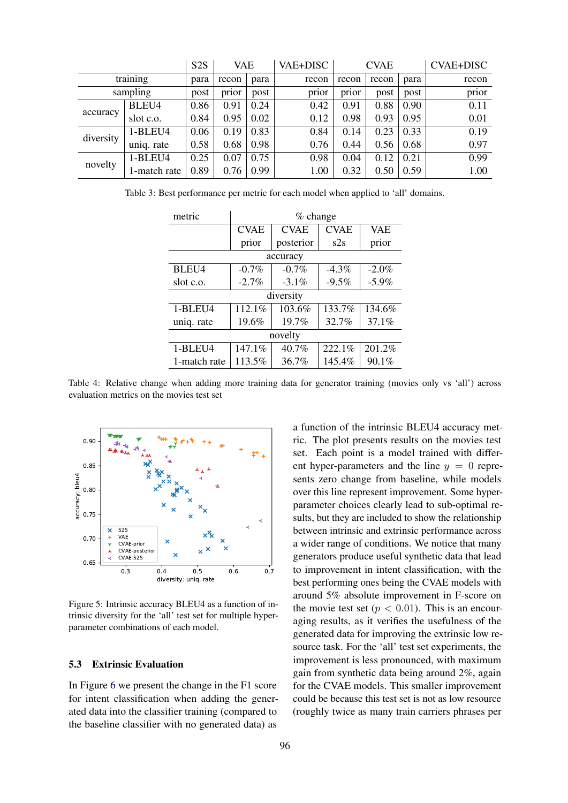<span id="page-6-0"></span>

|           |              | S <sub>2</sub> S | VAE   |      | VAE+DISC |       | <b>CVAE</b> |      | <b>CVAE+DISC</b> |
|-----------|--------------|------------------|-------|------|----------|-------|-------------|------|------------------|
| training  |              | para             | recon | para | recon    | recon | recon       | para | recon            |
|           | sampling     | post             | prior | post | prior    | prior | post        | post | prior            |
| accuracy  | BLEU4        | 0.86             | 0.91  | 0.24 | 0.42     | 0.91  | 0.88        | 0.90 | 0.11             |
|           | slot c.o.    | 0.84             | 0.95  | 0.02 | 0.12     | 0.98  | 0.93        | 0.95 | 0.01             |
| diversity | 1-BLEU4      | 0.06             | 0.19  | 0.83 | 0.84     | 0.14  | 0.23        | 0.33 | 0.19             |
|           | uniq. rate   | 0.58             | 0.68  | 0.98 | 0.76     | 0.44  | 0.56        | 0.68 | 0.97             |
| novelty   | 1-BLEU4      | 0.25             | 0.07  | 0.75 | 0.98     | 0.04  | 0.12        | 0.21 | 0.99             |
|           | 1-match rate | 0.89             | 0.76  | 0.99 | 1.00     | 0.32  | 0.50        | 0.59 | 1.00             |

<span id="page-6-2"></span>Table 3: Best performance per metric for each model when applied to 'all' domains.

| metric       | $%$ change                 |           |             |            |  |  |  |
|--------------|----------------------------|-----------|-------------|------------|--|--|--|
|              | <b>CVAE</b><br><b>CVAE</b> |           | <b>CVAE</b> | <b>VAE</b> |  |  |  |
|              | prior                      | posterior | s2s         | prior      |  |  |  |
| accuracy     |                            |           |             |            |  |  |  |
| BLEU4        | $-0.7\%$                   | $-0.7\%$  | $-4.3\%$    | $-2.0%$    |  |  |  |
| slot c.o.    | $-2.7\%$                   | $-3.1\%$  | $-9.5%$     | $-5.9%$    |  |  |  |
| diversity    |                            |           |             |            |  |  |  |
| 1-BLEU4      | 112.1%                     | 103.6%    | 133.7%      | 134.6%     |  |  |  |
| uniq. rate   | 19.6%                      | 19.7%     | 32.7%       | 37.1%      |  |  |  |
| novelty      |                            |           |             |            |  |  |  |
| 1-BLEU4      | 147.1%                     | 40.7%     | 222.1%      | 201.2%     |  |  |  |
| 1-match rate | 113.5%                     | $36.7\%$  | 145.4%      | 90.1%      |  |  |  |

Table 4: Relative change when adding more training data for generator training (movies only vs 'all') across evaluation metrics on the movies test set

<span id="page-6-1"></span>

Figure 5: Intrinsic accuracy BLEU4 as a function of intrinsic diversity for the 'all' test set for multiple hyperparameter combinations of each model.

## 5.3 Extrinsic Evaluation

In Figure [6](#page-7-3) we present the change in the F1 score for intent classification when adding the generated data into the classifier training (compared to the baseline classifier with no generated data) as a function of the intrinsic BLEU4 accuracy metric. The plot presents results on the movies test set. Each point is a model trained with different hyper-parameters and the line  $y = 0$  represents zero change from baseline, while models over this line represent improvement. Some hyperparameter choices clearly lead to sub-optimal results, but they are included to show the relationship between intrinsic and extrinsic performance across a wider range of conditions. We notice that many generators produce useful synthetic data that lead to improvement in intent classification, with the best performing ones being the CVAE models with around 5% absolute improvement in F-score on the movie test set  $(p < 0.01)$ . This is an encouraging results, as it verifies the usefulness of the generated data for improving the extrinsic low resource task. For the 'all' test set experiments, the improvement is less pronounced, with maximum gain from synthetic data being around 2%, again for the CVAE models. This smaller improvement could be because this test set is not as low resource (roughly twice as many train carriers phrases per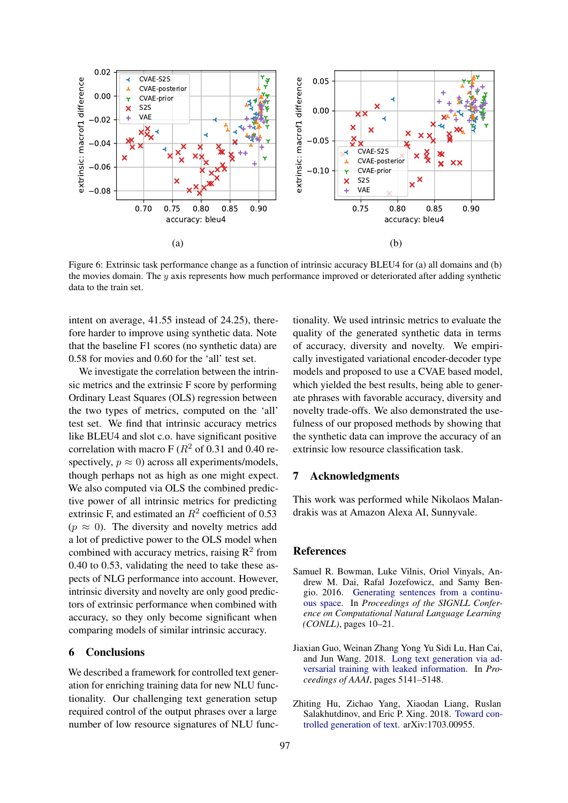<span id="page-7-3"></span>

Figure 6: Extrinsic task performance change as a function of intrinsic accuracy BLEU4 for (a) all domains and (b) the movies domain. The y axis represents how much performance improved or deteriorated after adding synthetic data to the train set.

intent on average, 41.55 instead of 24.25), therefore harder to improve using synthetic data. Note that the baseline F1 scores (no synthetic data) are 0.58 for movies and 0.60 for the 'all' test set.

We investigate the correlation between the intrinsic metrics and the extrinsic F score by performing Ordinary Least Squares (OLS) regression between the two types of metrics, computed on the 'all' test set. We find that intrinsic accuracy metrics like BLEU4 and slot c.o. have significant positive correlation with macro F ( $R<sup>2</sup>$  of 0.31 and 0.40 respectively,  $p \approx 0$ ) across all experiments/models, though perhaps not as high as one might expect. We also computed via OLS the combined predictive power of all intrinsic metrics for predicting extrinsic F, and estimated an  $R^2$  coefficient of 0.53  $(p \approx 0)$ . The diversity and novelty metrics add a lot of predictive power to the OLS model when combined with accuracy metrics, raising  $\mathbb{R}^2$  from 0.40 to 0.53, validating the need to take these aspects of NLG performance into account. However, intrinsic diversity and novelty are only good predictors of extrinsic performance when combined with accuracy, so they only become significant when comparing models of similar intrinsic accuracy.

## 6 Conclusions

We described a framework for controlled text generation for enriching training data for new NLU functionality. Our challenging text generation setup required control of the output phrases over a large number of low resource signatures of NLU functionality. We used intrinsic metrics to evaluate the quality of the generated synthetic data in terms of accuracy, diversity and novelty. We empirically investigated variational encoder-decoder type models and proposed to use a CVAE based model, which yielded the best results, being able to generate phrases with favorable accuracy, diversity and novelty trade-offs. We also demonstrated the usefulness of our proposed methods by showing that the synthetic data can improve the accuracy of an extrinsic low resource classification task.

# 7 Acknowledgments

This work was performed while Nikolaos Malandrakis was at Amazon Alexa AI, Sunnyvale.

#### References

- <span id="page-7-2"></span>Samuel R. Bowman, Luke Vilnis, Oriol Vinyals, Andrew M. Dai, Rafal Jozefowicz, and Samy Bengio. 2016. [Generating sentences from a continu](https://aclweb.org/anthology/K/K16/K16-1002.pdf)[ous space.](https://aclweb.org/anthology/K/K16/K16-1002.pdf) In *Proceedings of the SIGNLL Conference on Computational Natural Language Learning (CONLL)*, pages 10–21.
- <span id="page-7-1"></span>Jiaxian Guo, Weinan Zhang Yong Yu Sidi Lu, Han Cai, and Jun Wang. 2018. [Long text generation via ad](https://www.aaai.org/ocs/index.php/AAAI/AAAI18/paper/download/16360/16061)[versarial training with leaked information.](https://www.aaai.org/ocs/index.php/AAAI/AAAI18/paper/download/16360/16061) In *Proceedings of AAAI*, pages 5141–5148.
- <span id="page-7-0"></span>Zhiting Hu, Zichao Yang, Xiaodan Liang, Ruslan Salakhutdinov, and Eric P. Xing. 2018. [Toward con](http://arxiv.org/abs/1703.00955)[trolled generation of text.](http://arxiv.org/abs/1703.00955) arXiv:1703.00955.